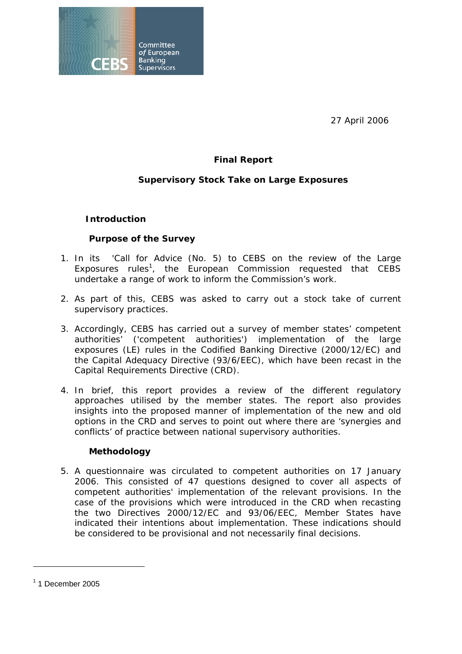

27 April 2006

# **Final Report**

## **Supervisory Stock Take on Large Exposures**

### **Introduction**

### **Purpose of the Survey**

- 1. In its 'Call for Advice (No. 5) to CEBS on the review of the Large Exposures rules<sup>1</sup>, the European Commission requested that CEBS undertake a range of work to inform the Commission's work.
- 2. As part of this, CEBS was asked to carry out a stock take of current supervisory practices.
- 3. Accordingly, CEBS has carried out a survey of member states' competent authorities' ('competent authorities') implementation of the large exposures (LE) rules in the Codified Banking Directive (2000/12/EC) and the Capital Adequacy Directive (93/6/EEC), which have been recast in the Capital Requirements Directive (CRD).
- 4. In brief, this report provides a review of the different regulatory approaches utilised by the member states. The report also provides insights into the proposed manner of implementation of the new and old options in the CRD and serves to point out where there are 'synergies and conflicts' of practice between national supervisory authorities.

#### **Methodology**

5. A questionnaire was circulated to competent authorities on 17 January 2006. This consisted of 47 questions designed to cover all aspects of competent authorities' implementation of the relevant provisions. In the case of the provisions which were introduced in the CRD when recasting the two Directives 2000/12/EC and 93/06/EEC, Member States have indicated their intentions about implementation. These indications should be considered to be provisional and not necessarily final decisions.

 $<sup>1</sup>$  1 December 2005</sup>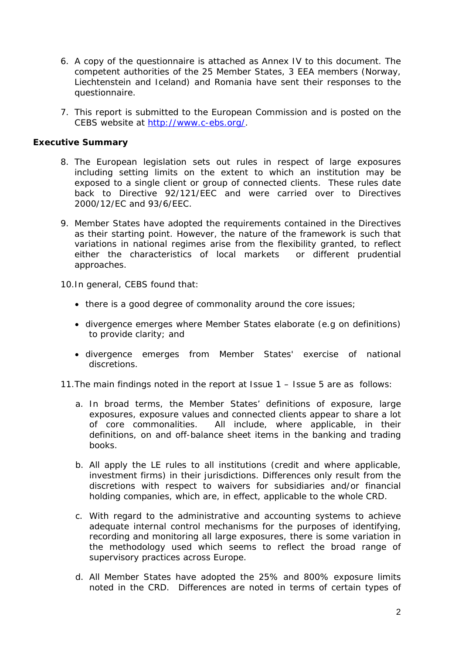- 6. A copy of the questionnaire is attached as Annex IV to this document*.* The competent authorities of the 25 Member States, 3 EEA members (Norway, Liechtenstein and Iceland) and Romania have sent their responses to the questionnaire*.*
- 7. This report is submitted to the European Commission and is posted on the CEBS website at http://www.c-ebs.org/.

#### **Executive Summary**

- 8. The European legislation sets out rules in respect of large exposures including setting limits on the extent to which an institution may be exposed to a single client or group of connected clients. These rules date back to Directive 92/121/EEC and were carried over to Directives 2000/12/EC and 93/6/EEC.
- 9. Member States have adopted the requirements contained in the Directives as their starting point. However, the nature of the framework is such that variations in national regimes arise from the flexibility granted, to reflect either the characteristics of local markets or different prudential approaches.

10.In general, CEBS found that:

- there is a good degree of commonality around the core issues;
- divergence emerges where Member States elaborate (e.g on definitions) to provide clarity; and
- divergence emerges from Member States' exercise of national discretions.

11.The main findings noted in the report at Issue 1 – Issue 5 are as follows:

- a. In broad terms, the Member States' definitions of exposure, large exposures, exposure values and connected clients appear to share a lot of core commonalities. All include, where applicable, in their definitions, on and off-balance sheet items in the banking and trading books.
- b. All apply the LE rules to all institutions (credit and where applicable, investment firms) in their jurisdictions. Differences only result from the discretions with respect to waivers for subsidiaries and/or financial holding companies, which are, in effect, applicable to the whole CRD.
- c. With regard to the administrative and accounting systems to achieve adequate internal control mechanisms for the purposes of identifying, recording and monitoring all large exposures, there is some variation in the methodology used which seems to reflect the broad range of supervisory practices across Europe.
- d. All Member States have adopted the 25% and 800% exposure limits noted in the CRD. Differences are noted in terms of certain types of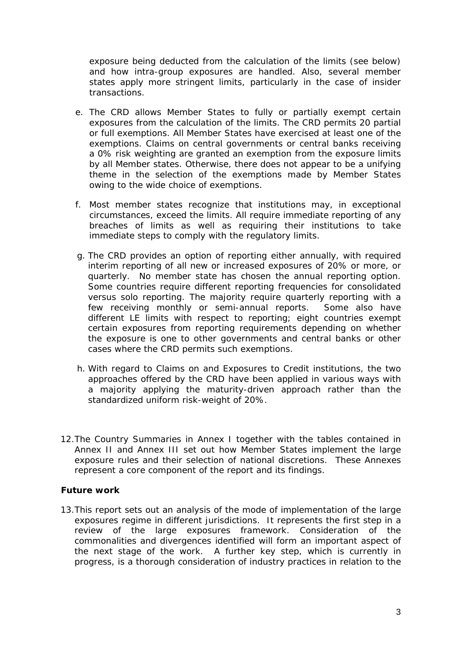exposure being deducted from the calculation of the limits (see below) and how intra-group exposures are handled. Also, several member states apply more stringent limits, particularly in the case of insider transactions.

- e. The CRD allows Member States to fully or partially exempt certain exposures from the calculation of the limits. The CRD permits 20 partial or full exemptions. All Member States have exercised at least one of the exemptions. Claims on central governments or central banks receiving a 0% risk weighting are granted an exemption from the exposure limits by all Member states. Otherwise, there does not appear to be a unifying theme in the selection of the exemptions made by Member States owing to the wide choice of exemptions.
- f. Most member states recognize that institutions may, in exceptional circumstances, exceed the limits. All require immediate reporting of any breaches of limits as well as requiring their institutions to take immediate steps to comply with the regulatory limits.
- g. The CRD provides an option of reporting either annually, with required interim reporting of all new or increased exposures of 20% or more, or quarterly. No member state has chosen the annual reporting option. Some countries require different reporting frequencies for consolidated versus solo reporting. The majority require quarterly reporting with a few receiving monthly or semi-annual reports. Some also have different LE limits with respect to reporting; eight countries exempt certain exposures from reporting requirements depending on whether the exposure is one to other governments and central banks or other cases where the CRD permits such exemptions.
- h. With regard to Claims on and Exposures to Credit institutions, the two approaches offered by the CRD have been applied in various ways with a majority applying the maturity-driven approach rather than the standardized uniform risk-weight of 20%.
- 12.The Country Summaries in Annex I together with the tables contained in Annex II and Annex III set out how Member States implement the large exposure rules and their selection of national discretions. These Annexes represent a core component of the report and its findings.

#### **Future work**

13.This report sets out an analysis of the mode of implementation of the large exposures regime in different jurisdictions. It represents the first step in a review of the large exposures framework. Consideration of the commonalities and divergences identified will form an important aspect of the next stage of the work. A further key step, which is currently in progress, is a thorough consideration of industry practices in relation to the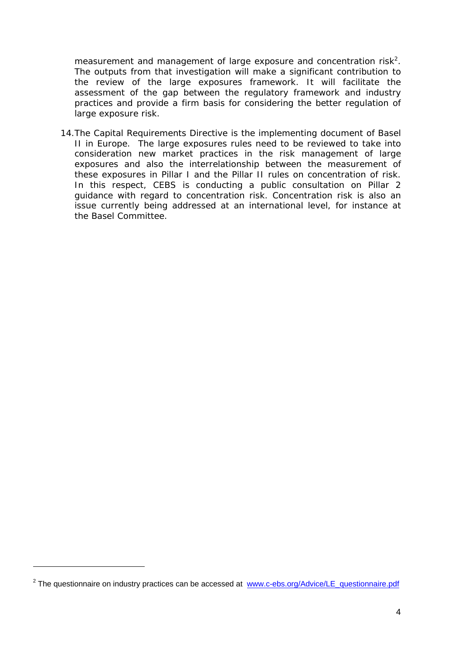measurement and management of large exposure and concentration risk<sup>2</sup>. The outputs from that investigation will make a significant contribution to the review of the large exposures framework. It will facilitate the assessment of the gap between the regulatory framework and industry practices and provide a firm basis for considering the better regulation of large exposure risk.

14.The Capital Requirements Directive is the implementing document of Basel II in Europe. The large exposures rules need to be reviewed to take into consideration new market practices in the risk management of large exposures and also the interrelationship between the measurement of these exposures in Pillar I and the Pillar II rules on concentration of risk. In this respect, CEBS is conducting a public consultation on Pillar 2 guidance with regard to concentration risk. Concentration risk is also an issue currently being addressed at an international level, for instance at the Basel Committee.

<sup>&</sup>lt;sup>2</sup> The questionnaire on industry practices can be accessed at www.c-ebs.org/Advice/LE\_questionnaire.pdf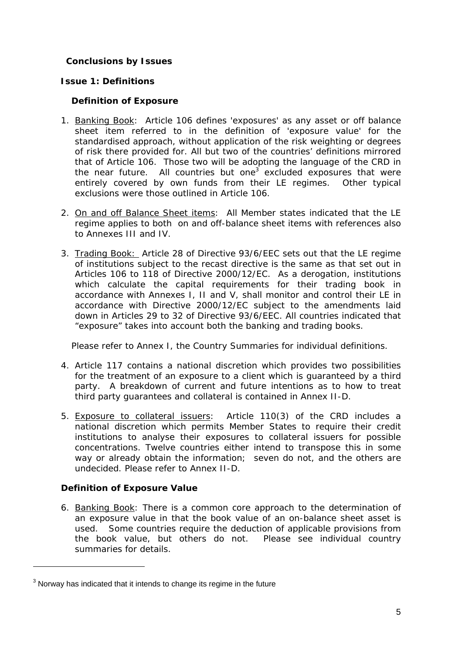## **Conclusions by Issues**

### **Issue 1: Definitions**

### **Definition of Exposure**

- 1. Banking Book: Article 106 defines 'exposures' as any asset or off balance sheet item referred to in the definition of 'exposure value' for the standardised approach, without application of the risk weighting or degrees of risk there provided for. All but two of the countries' definitions mirrored that of Article 106. Those two will be adopting the language of the CRD in the near future. All countries but one<sup>3</sup> excluded exposures that were entirely covered by own funds from their LE regimes. Other typical exclusions were those outlined in Article 106.
- 2. On and off Balance Sheet items: All Member states indicated that the LE regime applies to both on and off-balance sheet items with references also to Annexes III and IV.
- 3. Trading Book: Article 28 of Directive 93/6/EEC sets out that the LE regime of institutions subject to the recast directive is the same as that set out in Articles 106 to 118 of Directive 2000/12/EC. As a derogation, institutions which calculate the capital requirements for their trading book in accordance with Annexes I, II and V, shall monitor and control their LE in accordance with Directive 2000/12/EC subject to the amendments laid down in Articles 29 to 32 of Directive 93/6/EEC. All countries indicated that "exposure" takes into account both the banking and trading books.

Please refer to Annex I, the Country Summaries for individual definitions.

- 4. Article 117 contains a national discretion which provides two possibilities for the treatment of an exposure to a client which is guaranteed by a third party. A breakdown of current and future intentions as to how to treat third party guarantees and collateral is contained in Annex II-D.
- 5. Exposure to collateral issuers:Article 110(3) of the CRD includes a national discretion which permits Member States to require their credit institutions to analyse their exposures to collateral issuers for possible concentrations. Twelve countries either intend to transpose this in some way or already obtain the information; seven do not, and the others are undecided. Please refer to Annex II-D.

## **Definition of Exposure Value**

6. Banking Book: There is a common core approach to the determination of an exposure value in that the book value of an on-balance sheet asset is used. Some countries require the deduction of applicable provisions from the book value, but others do not. Please see individual country summaries for details.

 $3$  Norway has indicated that it intends to change its regime in the future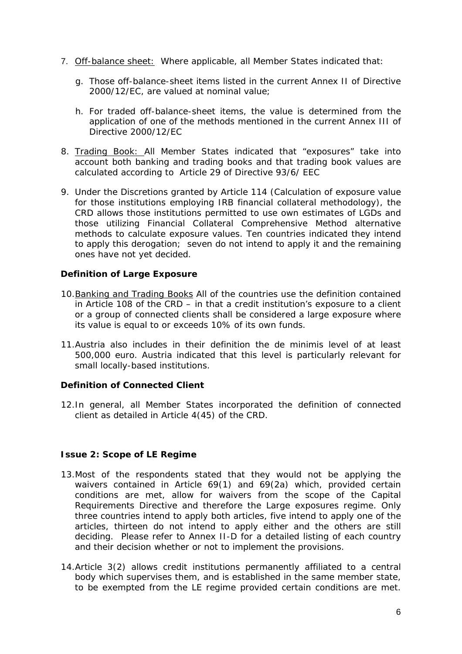- 7. Off-balance sheet: Where applicable, all Member States indicated that:
	- g. Those off-balance-sheet items listed in the current Annex II of Directive 2000/12/EC, are valued at nominal value;
	- h. For traded off-balance-sheet items, the value is determined from the application of one of the methods mentioned in the current Annex III of Directive 2000/12/EC
- 8. Trading Book: All Member States indicated that "exposures" take into account both banking and trading books and that trading book values are calculated according to Article 29 of Directive 93/6/ EEC
- 9. Under the Discretions granted by Article 114 (Calculation of exposure value for those institutions employing IRB financial collateral methodology), the CRD allows those institutions permitted to use own estimates of LGDs and those utilizing Financial Collateral Comprehensive Method alternative methods to calculate exposure values. Ten countries indicated they intend to apply this derogation; seven do not intend to apply it and the remaining ones have not yet decided.

## **Definition of Large Exposure**

- 10.Banking and Trading Books All of the countries use the definition contained in Article 108 of the CRD – in that a credit institution's exposure to a client or a group of connected clients shall be considered a large exposure where its value is equal to or exceeds 10% of its own funds.
- 11.Austria also includes in their definition the de minimis level of at least 500,000 euro. Austria indicated that this level is particularly relevant for small locally-based institutions.

#### **Definition of Connected Client**

12.In general, all Member States incorporated the definition of connected client as detailed in Article 4(45) of the CRD.

## **Issue 2: Scope of LE Regime**

- 13.Most of the respondents stated that they would not be applying the waivers contained in Article 69(1) and 69(2a) which, provided certain conditions are met, allow for waivers from the scope of the Capital Requirements Directive and therefore the Large exposures regime. Only three countries intend to apply both articles, five intend to apply one of the articles, thirteen do not intend to apply either and the others are still deciding. Please refer to Annex II-D for a detailed listing of each country and their decision whether or not to implement the provisions.
- 14.Article 3(2) allows credit institutions permanently affiliated to a central body which supervises them, and is established in the same member state, to be exempted from the LE regime provided certain conditions are met.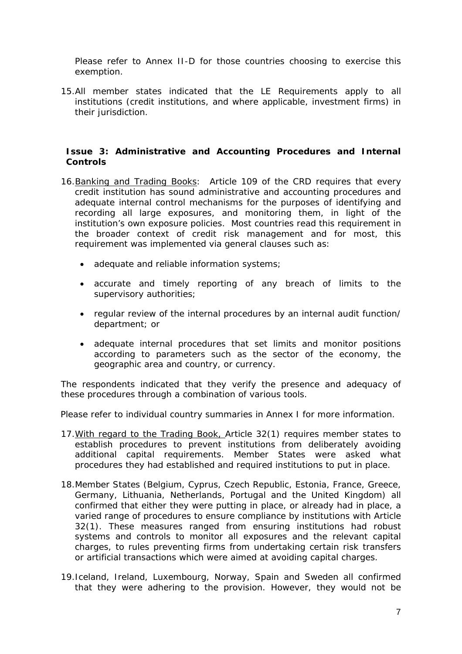Please refer to Annex II-D for those countries choosing to exercise this exemption.

15.All member states indicated that the LE Requirements apply to all institutions (credit institutions, and where applicable, investment firms) in their jurisdiction.

### **Issue 3: Administrative and Accounting Procedures and Internal Controls**

- 16.Banking and Trading Books: Article 109 of the CRD requires that every credit institution has sound administrative and accounting procedures and adequate internal control mechanisms for the purposes of identifying and recording all large exposures, and monitoring them, in light of the institution's own exposure policies. Most countries read this requirement in the broader context of credit risk management and for most, this requirement was implemented via general clauses such as:
	- adequate and reliable information systems;
	- accurate and timely reporting of any breach of limits to the supervisory authorities;
	- regular review of the internal procedures by an internal audit function/ department; or
	- adequate internal procedures that set limits and monitor positions according to parameters such as the sector of the economy, the geographic area and country, or currency.

The respondents indicated that they verify the presence and adequacy of these procedures through a combination of various tools.

Please refer to individual country summaries in Annex I for more information.

- 17.With regard to the Trading Book, Article 32(1) requires member states to establish procedures to prevent institutions from deliberately avoiding additional capital requirements. Member States were asked what procedures they had established and required institutions to put in place.
- 18.Member States (Belgium, Cyprus, Czech Republic, Estonia, France, Greece, Germany, Lithuania, Netherlands, Portugal and the United Kingdom) all confirmed that either they were putting in place, or already had in place, a varied range of procedures to ensure compliance by institutions with Article 32(1). These measures ranged from ensuring institutions had robust systems and controls to monitor all exposures and the relevant capital charges, to rules preventing firms from undertaking certain risk transfers or artificial transactions which were aimed at avoiding capital charges.
- 19.Iceland, Ireland, Luxembourg, Norway, Spain and Sweden all confirmed that they were adhering to the provision. However, they would not be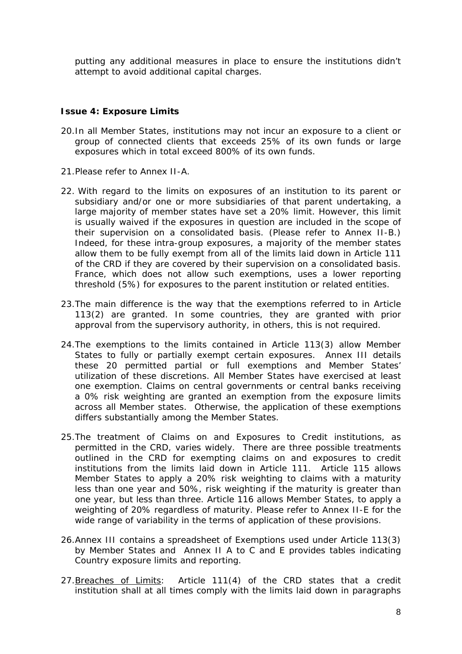putting any additional measures in place to ensure the institutions didn't attempt to avoid additional capital charges.

## **Issue 4: Exposure Limits**

- 20.In all Member States, institutions may not incur an exposure to a client or group of connected clients that exceeds 25% of its own funds or large exposures which in total exceed 800% of its own funds.
- 21.Please refer to Annex II-A.
- 22. With regard to the limits on exposures of an institution to its parent or subsidiary and/or one or more subsidiaries of that parent undertaking, a large majority of member states have set a 20% limit. However, this limit is usually waived if the exposures in question are included in the scope of their supervision on a consolidated basis. (Please refer to Annex II-B.) Indeed, for these intra-group exposures, a majority of the member states allow them to be fully exempt from all of the limits laid down in Article 111 of the CRD if they are covered by their supervision on a consolidated basis. France, which does not allow such exemptions, uses a lower reporting threshold (5%) for exposures to the parent institution or related entities.
- 23.The main difference is the way that the exemptions referred to in Article 113(2) are granted. In some countries, they are granted with prior approval from the supervisory authority, in others, this is not required.
- 24.The exemptions to the limits contained in Article 113(3) allow Member States to fully or partially exempt certain exposures. Annex III details these 20 permitted partial or full exemptions and Member States' utilization of these discretions. All Member States have exercised at least one exemption. Claims on central governments or central banks receiving a 0% risk weighting are granted an exemption from the exposure limits across all Member states. Otherwise, the application of these exemptions differs substantially among the Member States.
- 25.The treatment of Claims on and Exposures to Credit institutions, as permitted in the CRD, varies widely. There are three possible treatments outlined in the CRD for exempting claims on and exposures to credit institutions from the limits laid down in Article 111. Article 115 allows Member States to apply a 20% risk weighting to claims with a maturity less than one year and 50%, risk weighting if the maturity is greater than one year, but less than three. Article 116 allows Member States, to apply a weighting of 20% regardless of maturity. Please refer to Annex II-E for the wide range of variability in the terms of application of these provisions.
- 26.Annex III contains a spreadsheet of Exemptions used under Article 113(3) by Member States and Annex II A to C and E provides tables indicating Country exposure limits and reporting.
- 27. Breaches of Limits: Article 111(4) of the CRD states that a credit institution shall at all times comply with the limits laid down in paragraphs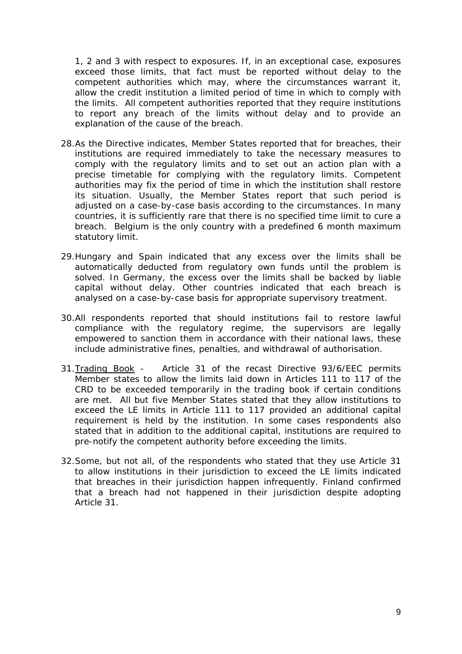1, 2 and 3 with respect to exposures. If, in an exceptional case, exposures exceed those limits, that fact must be reported without delay to the competent authorities which may, where the circumstances warrant it, allow the credit institution a limited period of time in which to comply with the limits. All competent authorities reported that they require institutions to report any breach of the limits without delay and to provide an explanation of the cause of the breach.

- 28.As the Directive indicates, Member States reported that for breaches, their institutions are required immediately to take the necessary measures to comply with the regulatory limits and to set out an action plan with a precise timetable for complying with the regulatory limits. Competent authorities may fix the period of time in which the institution shall restore its situation. Usually, the Member States report that such period is adjusted on a case-by-case basis according to the circumstances. In many countries, it is sufficiently rare that there is no specified time limit to cure a breach. Belgium is the only country with a predefined 6 month maximum statutory limit.
- 29.Hungary and Spain indicated that any excess over the limits shall be automatically deducted from regulatory own funds until the problem is solved. In Germany, the excess over the limits shall be backed by liable capital without delay. Other countries indicated that each breach is analysed on a case-by-case basis for appropriate supervisory treatment.
- 30.All respondents reported that should institutions fail to restore lawful compliance with the regulatory regime, the supervisors are legally empowered to sanction them in accordance with their national laws, these include administrative fines, penalties, and withdrawal of authorisation.
- 31.Trading Book Article 31 of the recast Directive 93/6/EEC permits Member states to allow the limits laid down in Articles 111 to 117 of the CRD to be exceeded temporarily in the trading book if certain conditions are met. All but five Member States stated that they allow institutions to exceed the LE limits in Article 111 to 117 provided an additional capital requirement is held by the institution. In some cases respondents also stated that in addition to the additional capital, institutions are required to pre-notify the competent authority before exceeding the limits.
- 32.Some, but not all, of the respondents who stated that they use Article 31 to allow institutions in their jurisdiction to exceed the LE limits indicated that breaches in their jurisdiction happen infrequently. Finland confirmed that a breach had not happened in their jurisdiction despite adopting Article 31.